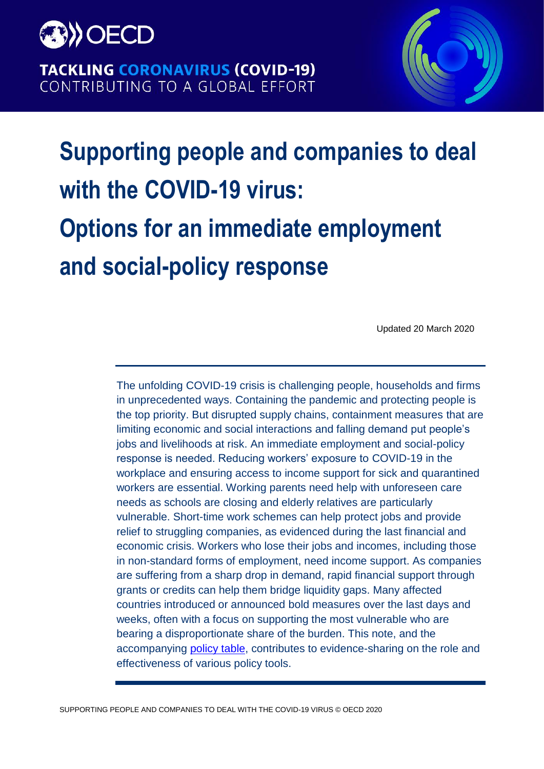

**TACKLING CORONAVIRUS (COVID-19)** CONTRIBUTING TO A GLOBAL EFFORT



# **Supporting people and companies to deal with the COVID-19 virus: Options for an immediate employment and social-policy response**

Updated 20 March 2020

The unfolding COVID-19 crisis is challenging people, households and firms in unprecedented ways. Containing the pandemic and protecting people is the top priority. But disrupted supply chains, containment measures that are limiting economic and social interactions and falling demand put people's jobs and livelihoods at risk. An immediate employment and social-policy response is needed. Reducing workers' exposure to COVID-19 in the workplace and ensuring access to income support for sick and quarantined workers are essential. Working parents need help with unforeseen care needs as schools are closing and elderly relatives are particularly vulnerable. Short-time work schemes can help protect jobs and provide relief to struggling companies, as evidenced during the last financial and economic crisis. Workers who lose their jobs and incomes, including those in non-standard forms of employment, need income support. As companies are suffering from a sharp drop in demand, rapid financial support through grants or credits can help them bridge liquidity gaps. Many affected countries introduced or announced bold measures over the last days and weeks, often with a focus on supporting the most vulnerable who are bearing a disproportionate share of the burden. This note, and the accompanying [policy table,](http://www.oecd.org/social/Covid-19-Employment-and-Social-Policy-Responses-by-Country.xlsx) contributes to evidence-sharing on the role and effectiveness of various policy tools.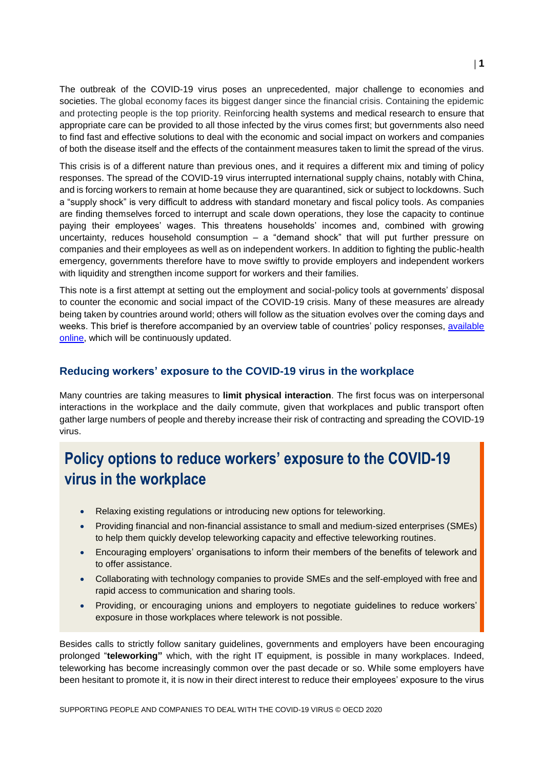The outbreak of the COVID-19 virus poses an unprecedented, major challenge to economies and societies. The global economy faces its biggest danger since the financial crisis. Containing the epidemic and protecting people is the top priority. Reinforcing health systems and medical research to ensure that appropriate care can be provided to all those infected by the virus comes first; but governments also need to find fast and effective solutions to deal with the economic and social impact on workers and companies of both the disease itself and the effects of the containment measures taken to limit the spread of the virus.

This crisis is of a different nature than previous ones, and it requires a different mix and timing of policy responses. The spread of the COVID-19 virus interrupted international supply chains, notably with China, and is forcing workers to remain at home because they are quarantined, sick or subject to lockdowns. Such a "supply shock" is very difficult to address with standard monetary and fiscal policy tools. As companies are finding themselves forced to interrupt and scale down operations, they lose the capacity to continue paying their employees' wages. This threatens households' incomes and, combined with growing uncertainty, reduces household consumption – a "demand shock" that will put further pressure on companies and their employees as well as on independent workers. In addition to fighting the public-health emergency, governments therefore have to move swiftly to provide employers and independent workers with liquidity and strengthen income support for workers and their families.

This note is a first attempt at setting out the employment and social-policy tools at governments' disposal to counter the economic and social impact of the COVID-19 crisis. Many of these measures are already being taken by countries around world; others will follow as the situation evolves over the coming days and weeks. This brief is therefore accompanied by an overview table of countries' policy responses, available [online,](http://www.oecd.org/social/Covid-19-Employment-and-Social-Policy-Responses-by-Country.xlsx) which will be continuously updated.

#### **Reducing workers' exposure to the COVID-19 virus in the workplace**

Many countries are taking measures to **limit physical interaction**. The first focus was on interpersonal interactions in the workplace and the daily commute, given that workplaces and public transport often gather large numbers of people and thereby increase their risk of contracting and spreading the COVID-19 virus.

# **Policy options to reduce workers' exposure to the COVID-19 virus in the workplace**

- Relaxing existing regulations or introducing new options for teleworking.
- Providing financial and non-financial assistance to small and medium-sized enterprises (SMEs) to help them quickly develop teleworking capacity and effective teleworking routines.
- Encouraging employers' organisations to inform their members of the benefits of telework and to offer assistance.
- Collaborating with technology companies to provide SMEs and the self-employed with free and rapid access to communication and sharing tools.
- Providing, or encouraging unions and employers to negotiate guidelines to reduce workers' exposure in those workplaces where telework is not possible.

Besides calls to strictly follow sanitary guidelines, governments and employers have been encouraging prolonged "**teleworking"** which, with the right IT equipment, is possible in many workplaces. Indeed, teleworking has become increasingly common over the past decade or so. While some employers have been hesitant to promote it, it is now in their direct interest to reduce their employees' exposure to the virus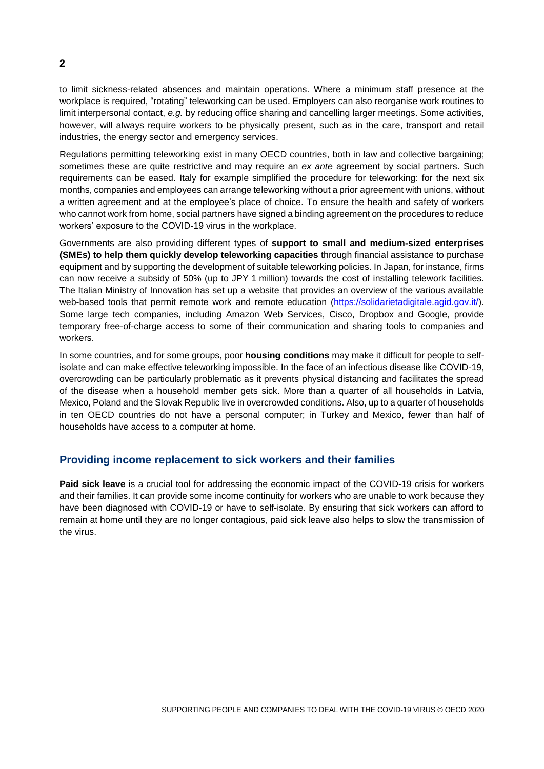to limit sickness-related absences and maintain operations. Where a minimum staff presence at the workplace is required, "rotating" teleworking can be used. Employers can also reorganise work routines to limit interpersonal contact, *e.g.* by reducing office sharing and cancelling larger meetings. Some activities, however, will always require workers to be physically present, such as in the care, transport and retail industries, the energy sector and emergency services.

Regulations permitting teleworking exist in many OECD countries, both in law and collective bargaining; sometimes these are quite restrictive and may require an *ex ante* agreement by social partners. Such requirements can be eased. Italy for example simplified the procedure for teleworking: for the next six months, companies and employees can arrange teleworking without a prior agreement with unions, without a written agreement and at the employee's place of choice. To ensure the health and safety of workers who cannot work from home, social partners have signed a binding agreement on the procedures to reduce workers' exposure to the COVID-19 virus in the workplace.

Governments are also providing different types of **support to small and medium-sized enterprises (SMEs) to help them quickly develop teleworking capacities** through financial assistance to purchase equipment and by supporting the development of suitable teleworking policies. In Japan, for instance, firms can now receive a subsidy of 50% (up to JPY 1 million) towards the cost of installing telework facilities. The Italian Ministry of Innovation has set up a website that provides an overview of the various available web-based tools that permit remote work and remote education [\(https://solidarietadigitale.agid.gov.it/\)](https://solidarietadigitale.agid.gov.it/). Some large tech companies, including Amazon Web Services, Cisco, Dropbox and Google, provide temporary free-of-charge access to some of their communication and sharing tools to companies and workers.

In some countries, and for some groups, poor **housing conditions** may make it difficult for people to selfisolate and can make effective teleworking impossible. In the face of an infectious disease like COVID-19, overcrowding can be particularly problematic as it prevents physical distancing and facilitates the spread of the disease when a household member gets sick. More than a quarter of all households in Latvia, Mexico, Poland and the Slovak Republic live in overcrowded conditions. Also, up to a quarter of households in ten OECD countries do not have a personal computer; in Turkey and Mexico, fewer than half of households have access to a computer at home.

## **Providing income replacement to sick workers and their families**

**Paid sick leave** is a crucial tool for addressing the economic impact of the COVID-19 crisis for workers and their families. It can provide some income continuity for workers who are unable to work because they have been diagnosed with COVID-19 or have to self-isolate. By ensuring that sick workers can afford to remain at home until they are no longer contagious, paid sick leave also helps to slow the transmission of the virus.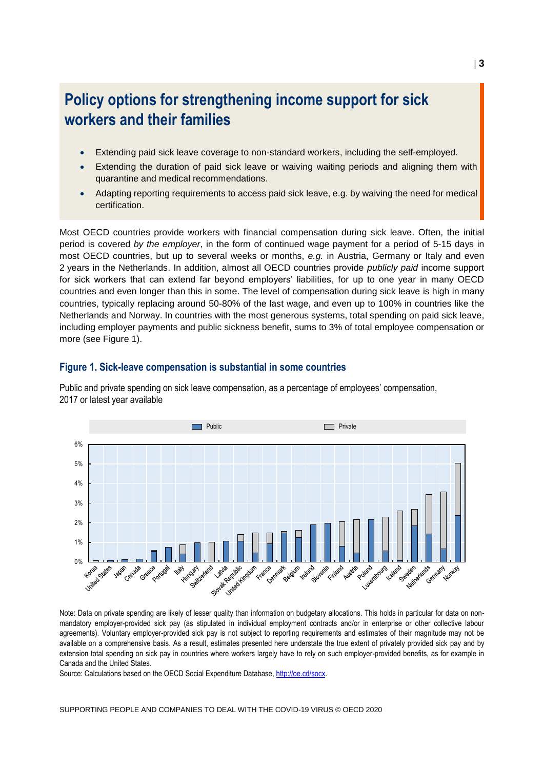# **Policy options for strengthening income support for sick workers and their families**

- Extending paid sick leave coverage to non-standard workers, including the self-employed.
- Extending the duration of paid sick leave or waiving waiting periods and aligning them with quarantine and medical recommendations.
- Adapting reporting requirements to access paid sick leave, e.g. by waiving the need for medical certification.

Most OECD countries provide workers with financial compensation during sick leave. Often, the initial period is covered *by the employer*, in the form of continued wage payment for a period of 5-15 days in most OECD countries, but up to several weeks or months, *e.g.* in Austria, Germany or Italy and even 2 years in the Netherlands. In addition, almost all OECD countries provide *publicly paid* income support for sick workers that can extend far beyond employers' liabilities, for up to one year in many OECD countries and even longer than this in some. The level of compensation during sick leave is high in many countries, typically replacing around 50-80% of the last wage, and even up to 100% in countries like the Netherlands and Norway. In countries with the most generous systems, total spending on paid sick leave, including employer payments and public sickness benefit, sums to 3% of total employee compensation or more (see [Figure](#page-3-0) 1).

#### <span id="page-3-0"></span>**Figure 1. Sick-leave compensation is substantial in some countries**

Public and private spending on sick leave compensation, as a percentage of employees' compensation, 2017 or latest year available



Note: Data on private spending are likely of lesser quality than information on budgetary allocations. This holds in particular for data on nonmandatory employer-provided sick pay (as stipulated in individual employment contracts and/or in enterprise or other collective labour agreements). Voluntary employer-provided sick pay is not subject to reporting requirements and estimates of their magnitude may not be available on a comprehensive basis. As a result, estimates presented here understate the true extent of privately provided sick pay and by extension total spending on sick pay in countries where workers largely have to rely on such employer-provided benefits, as for example in Canada and the United States.

Source: Calculations based on the OECD Social Expenditure Database, [http://oe.cd/socx.](http://oe.cd/socx)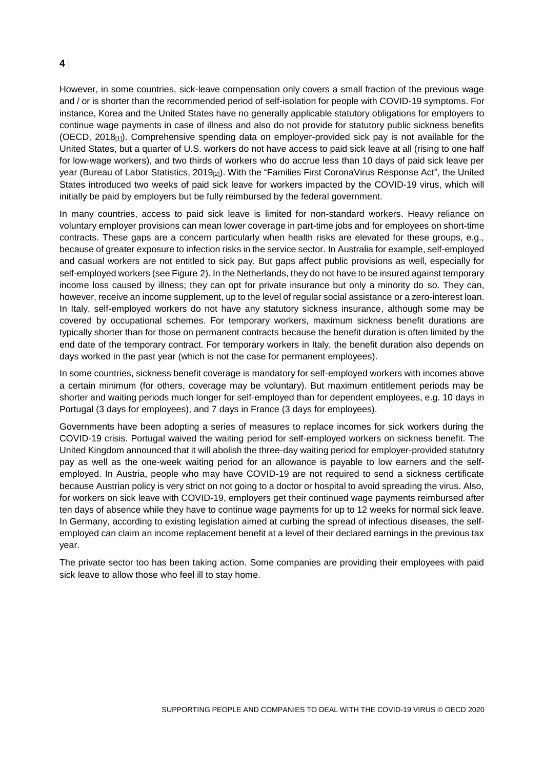However, in some countries, sick-leave compensation only covers a small fraction of the previous wage and / or is shorter than the recommended period of self-isolation for people with COVID-19 symptoms. For instance, Korea and the United States have no generally applicable statutory obligations for employers to continue wage payments in case of illness and also do not provide for statutory public sickness benefits (OECD, 2018[1]). Comprehensive spending data on employer-provided sick pay is not available for the United States, but a quarter of U.S. workers do not have access to paid sick leave at all (rising to one half for low-wage workers), and two thirds of workers who do accrue less than 10 days of paid sick leave per year (Bureau of Labor Statistics, 2019<sub>[2]</sub>). With the "Families First CoronaVirus Response Act", the United States introduced two weeks of paid sick leave for workers impacted by the COVID-19 virus, which will initially be paid by employers but be fully reimbursed by the federal government.

In many countries, access to paid sick leave is limited for non-standard workers. Heavy reliance on voluntary employer provisions can mean lower coverage in part-time jobs and for employees on short-time contracts. These gaps are a concern particularly when health risks are elevated for these groups, e.g., because of greater exposure to infection risks in the service sector. In Australia for example, self-employed and casual workers are not entitled to sick pay. But gaps affect public provisions as well, especially for self-employed workers (se[e Figure](#page-5-0) 2). In the Netherlands, they do not have to be insured against temporary income loss caused by illness; they can opt for private insurance but only a minority do so. They can, however, receive an income supplement, up to the level of regular social assistance or a zero-interest loan. In Italy, self-employed workers do not have any statutory sickness insurance, although some may be covered by occupational schemes. For temporary workers, maximum sickness benefit durations are typically shorter than for those on permanent contracts because the benefit duration is often limited by the end date of the temporary contract. For temporary workers in Italy, the benefit duration also depends on days worked in the past year (which is not the case for permanent employees).

In some countries, sickness benefit coverage is mandatory for self-employed workers with incomes above a certain minimum (for others, coverage may be voluntary). But maximum entitlement periods may be shorter and waiting periods much longer for self-employed than for dependent employees, e.g. 10 days in Portugal (3 days for employees), and 7 days in France (3 days for employees).

Governments have been adopting a series of measures to replace incomes for sick workers during the COVID-19 crisis. Portugal waived the waiting period for self-employed workers on sickness benefit. The United Kingdom announced that it will abolish the three-day waiting period for employer-provided statutory pay as well as the one-week waiting period for an allowance is payable to low earners and the selfemployed. In Austria, people who may have COVID-19 are not required to send a sickness certificate because Austrian policy is very strict on not going to a doctor or hospital to avoid spreading the virus. Also, for workers on sick leave with COVID-19, employers get their continued wage payments reimbursed after ten days of absence while they have to continue wage payments for up to 12 weeks for normal sick leave. In Germany, according to existing legislation aimed at curbing the spread of infectious diseases, the selfemployed can claim an income replacement benefit at a level of their declared earnings in the previous tax year.

The private sector too has been taking action. Some companies are providing their employees with paid sick leave to allow those who feel ill to stay home.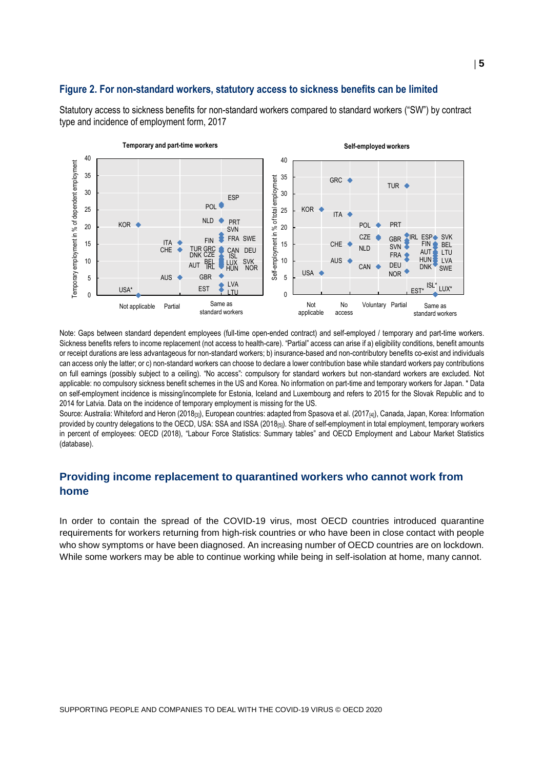#### <span id="page-5-0"></span>**Figure 2. For non-standard workers, statutory access to sickness benefits can be limited**

Statutory access to sickness benefits for non-standard workers compared to standard workers ("SW") by contract type and incidence of employment form, 2017



Note: Gaps between standard dependent employees (full-time open-ended contract) and self-employed / temporary and part-time workers. Sickness benefits refers to income replacement (not access to health-care). "Partial" access can arise if a) eligibility conditions, benefit amounts or receipt durations are less advantageous for non-standard workers; b) insurance-based and non-contributory benefits co-exist and individuals can access only the latter; or c) non-standard workers can choose to declare a lower contribution base while standard workers pay contributions on full earnings (possibly subject to a ceiling). "No access": compulsory for standard workers but non-standard workers are excluded. Not applicable: no compulsory sickness benefit schemes in the US and Korea. No information on part-time and temporary workers for Japan. \* Data on self-employment incidence is missing/incomplete for Estonia, Iceland and Luxembourg and refers to 2015 for the Slovak Republic and to 2014 for Latvia. Data on the incidence of temporary employment is missing for the US.

Source: Australia: Whiteford and Heron (2018<sub>[3]</sub>), European countries: adapted from Spasova et al. (2017<sub>[4]</sub>), Canada, Japan, Korea: Information provided by country delegations to the OECD, USA: SSA and ISSA (2018[5]). Share of self-employment in total employment, temporary workers in percent of employees: OECD (2018), "Labour Force Statistics: Summary tables" and OECD Employment and Labour Market Statistics (database).

## **Providing income replacement to quarantined workers who cannot work from home**

In order to contain the spread of the COVID-19 virus, most OECD countries introduced quarantine requirements for workers returning from high-risk countries or who have been in close contact with people who show symptoms or have been diagnosed. An increasing number of OECD countries are on lockdown. While some workers may be able to continue working while being in self-isolation at home, many cannot.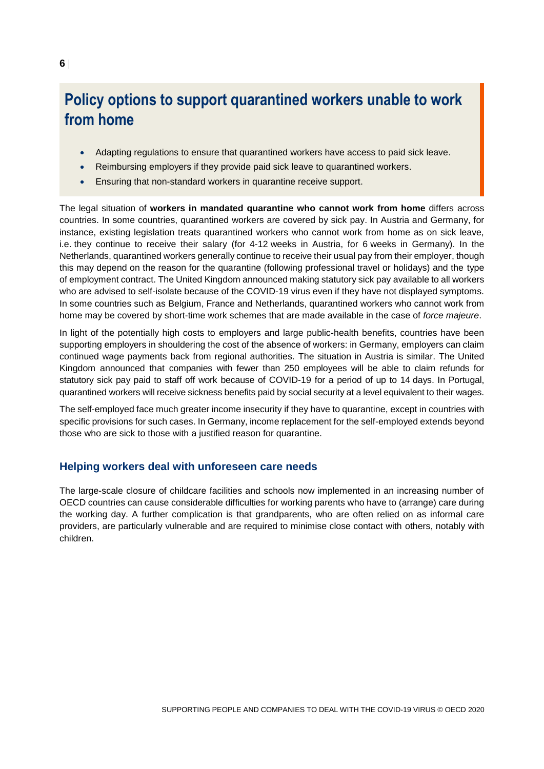# **Policy options to support quarantined workers unable to work from home**

- Adapting regulations to ensure that quarantined workers have access to paid sick leave.
- Reimbursing employers if they provide paid sick leave to quarantined workers.
- Ensuring that non-standard workers in quarantine receive support.

The legal situation of **workers in mandated quarantine who cannot work from home** differs across countries. In some countries, quarantined workers are covered by sick pay. In Austria and Germany, for instance, existing legislation treats quarantined workers who cannot work from home as on sick leave, i.e. they continue to receive their salary (for 4-12 weeks in Austria, for 6 weeks in Germany). In the Netherlands, quarantined workers generally continue to receive their usual pay from their employer, though this may depend on the reason for the quarantine (following professional travel or holidays) and the type of employment contract. The United Kingdom announced making statutory sick pay available to all workers who are advised to self-isolate because of the COVID-19 virus even if they have not displayed symptoms. In some countries such as Belgium, France and Netherlands, quarantined workers who cannot work from home may be covered by short-time work schemes that are made available in the case of *force majeure*.

In light of the potentially high costs to employers and large public-health benefits, countries have been supporting employers in shouldering the cost of the absence of workers: in Germany, employers can claim continued wage payments back from regional authorities. The situation in Austria is similar. The United Kingdom announced that companies with fewer than 250 employees will be able to claim refunds for statutory sick pay paid to staff off work because of COVID-19 for a period of up to 14 days. In Portugal, quarantined workers will receive sickness benefits paid by social security at a level equivalent to their wages.

The self-employed face much greater income insecurity if they have to quarantine, except in countries with specific provisions for such cases. In Germany, income replacement for the self-employed extends beyond those who are sick to those with a justified reason for quarantine.

#### **Helping workers deal with unforeseen care needs**

The large-scale closure of childcare facilities and schools now implemented in an increasing number of OECD countries can cause considerable difficulties for working parents who have to (arrange) care during the working day. A further complication is that grandparents, who are often relied on as informal care providers, are particularly vulnerable and are required to minimise close contact with others, notably with children.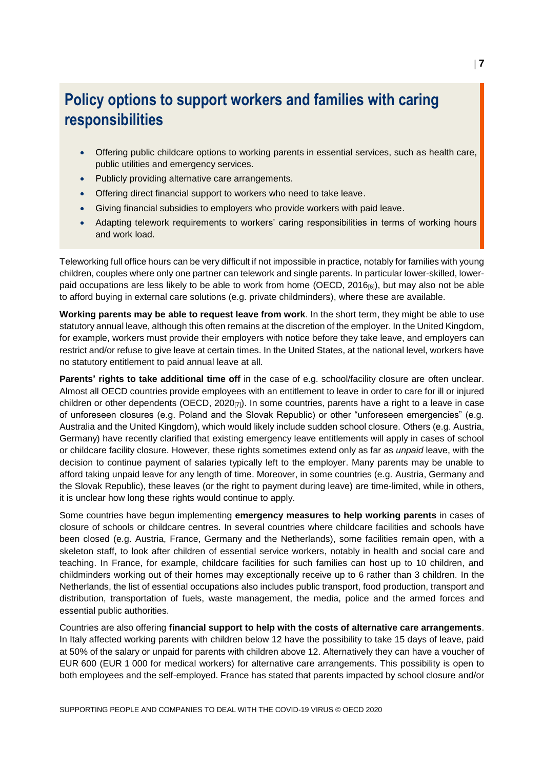# **Policy options to support workers and families with caring responsibilities**

- Offering public childcare options to working parents in essential services, such as health care, public utilities and emergency services.
- Publicly providing alternative care arrangements.
- Offering direct financial support to workers who need to take leave.
- Giving financial subsidies to employers who provide workers with paid leave.
- Adapting telework requirements to workers' caring responsibilities in terms of working hours and work load.

Teleworking full office hours can be very difficult if not impossible in practice, notably for families with young children, couples where only one partner can telework and single parents. In particular lower-skilled, lowerpaid occupations are less likely to be able to work from home (OECD, 2016 $_{[6]}$ ), but may also not be able to afford buying in external care solutions (e.g. private childminders), where these are available.

**Working parents may be able to request leave from work**. In the short term, they might be able to use statutory annual leave, although this often remains at the discretion of the employer. In the United Kingdom, for example, workers must provide their employers with notice before they take leave, and employers can restrict and/or refuse to give leave at certain times. In the United States, at the national level, workers have no statutory entitlement to paid annual leave at all.

**Parents' rights to take additional time off** in the case of e.g. school/facility closure are often unclear. Almost all OECD countries provide employees with an entitlement to leave in order to care for ill or injured children or other dependents (OECD,  $2020_{[7]}$ ). In some countries, parents have a right to a leave in case of unforeseen closures (e.g. Poland and the Slovak Republic) or other "unforeseen emergencies" (e.g. Australia and the United Kingdom), which would likely include sudden school closure. Others (e.g. Austria, Germany) have recently clarified that existing emergency leave entitlements will apply in cases of school or childcare facility closure. However, these rights sometimes extend only as far as *unpaid* leave, with the decision to continue payment of salaries typically left to the employer. Many parents may be unable to afford taking unpaid leave for any length of time. Moreover, in some countries (e.g. Austria, Germany and the Slovak Republic), these leaves (or the right to payment during leave) are time-limited, while in others, it is unclear how long these rights would continue to apply.

Some countries have begun implementing **emergency measures to help working parents** in cases of closure of schools or childcare centres. In several countries where childcare facilities and schools have been closed (e.g. Austria, France, Germany and the Netherlands), some facilities remain open, with a skeleton staff, to look after children of essential service workers, notably in health and social care and teaching. In France, for example, childcare facilities for such families can host up to 10 children, and childminders working out of their homes may exceptionally receive up to 6 rather than 3 children. In the Netherlands, the list of essential occupations also includes public transport, food production, transport and distribution, transportation of fuels, waste management, the media, police and the armed forces and essential public authorities.

Countries are also offering **financial support to help with the costs of alternative care arrangements**. In Italy affected working parents with children below 12 have the possibility to take 15 days of leave, paid at 50% of the salary or unpaid for parents with children above 12. Alternatively they can have a voucher of EUR 600 (EUR 1 000 for medical workers) for alternative care arrangements. This possibility is open to both employees and the self-employed. France has stated that parents impacted by school closure and/or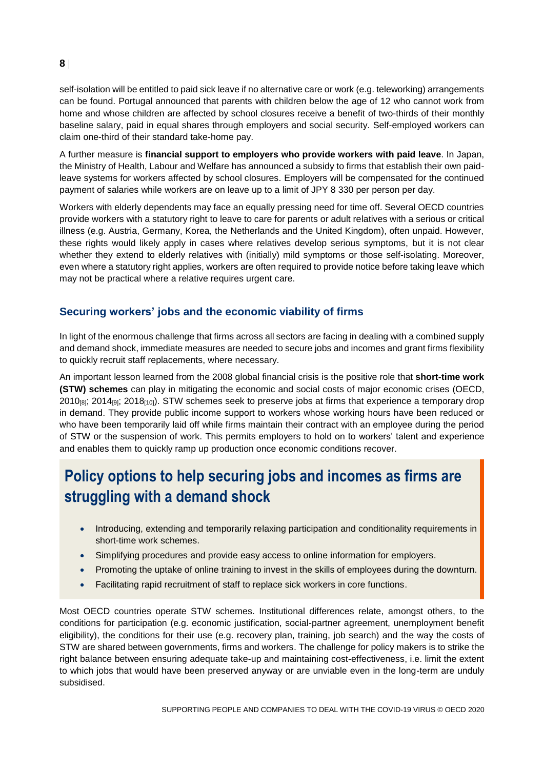self-isolation will be entitled to paid sick leave if no alternative care or work (e.g. teleworking) arrangements can be found. Portugal announced that parents with children below the age of 12 who cannot work from home and whose children are affected by school closures receive a benefit of two-thirds of their monthly baseline salary, paid in equal shares through employers and social security. Self-employed workers can claim one-third of their standard take-home pay.

A further measure is **financial support to employers who provide workers with paid leave**. In Japan, the Ministry of Health, Labour and Welfare has announced a subsidy to firms that establish their own paidleave systems for workers affected by school closures. Employers will be compensated for the continued payment of salaries while workers are on leave up to a limit of JPY 8 330 per person per day.

Workers with elderly dependents may face an equally pressing need for time off. Several OECD countries provide workers with a statutory right to leave to care for parents or adult relatives with a serious or critical illness (e.g. Austria, Germany, Korea, the Netherlands and the United Kingdom), often unpaid. However, these rights would likely apply in cases where relatives develop serious symptoms, but it is not clear whether they extend to elderly relatives with (initially) mild symptoms or those self-isolating. Moreover, even where a statutory right applies, workers are often required to provide notice before taking leave which may not be practical where a relative requires urgent care.

## **Securing workers' jobs and the economic viability of firms**

In light of the enormous challenge that firms across all sectors are facing in dealing with a combined supply and demand shock, immediate measures are needed to secure jobs and incomes and grant firms flexibility to quickly recruit staff replacements, where necessary.

An important lesson learned from the 2008 global financial crisis is the positive role that **short-time work (STW) schemes** can play in mitigating the economic and social costs of major economic crises (OECD, 2010 $_{[8]}$ ; 2014 $_{[9]}$ ; 2018 $_{[10]}$ ). STW schemes seek to preserve jobs at firms that experience a temporary drop in demand. They provide public income support to workers whose working hours have been reduced or who have been temporarily laid off while firms maintain their contract with an employee during the period of STW or the suspension of work. This permits employers to hold on to workers' talent and experience and enables them to quickly ramp up production once economic conditions recover.

# **Policy options to help securing jobs and incomes as firms are struggling with a demand shock**

- Introducing, extending and temporarily relaxing participation and conditionality requirements in short-time work schemes.
- Simplifying procedures and provide easy access to online information for employers.
- Promoting the uptake of online training to invest in the skills of employees during the downturn.
- Facilitating rapid recruitment of staff to replace sick workers in core functions.

Most OECD countries operate STW schemes. Institutional differences relate, amongst others, to the conditions for participation (e.g. economic justification, social-partner agreement, unemployment benefit eligibility), the conditions for their use (e.g. recovery plan, training, job search) and the way the costs of STW are shared between governments, firms and workers. The challenge for policy makers is to strike the right balance between ensuring adequate take-up and maintaining cost-effectiveness, i.e. limit the extent to which jobs that would have been preserved anyway or are unviable even in the long-term are unduly subsidised.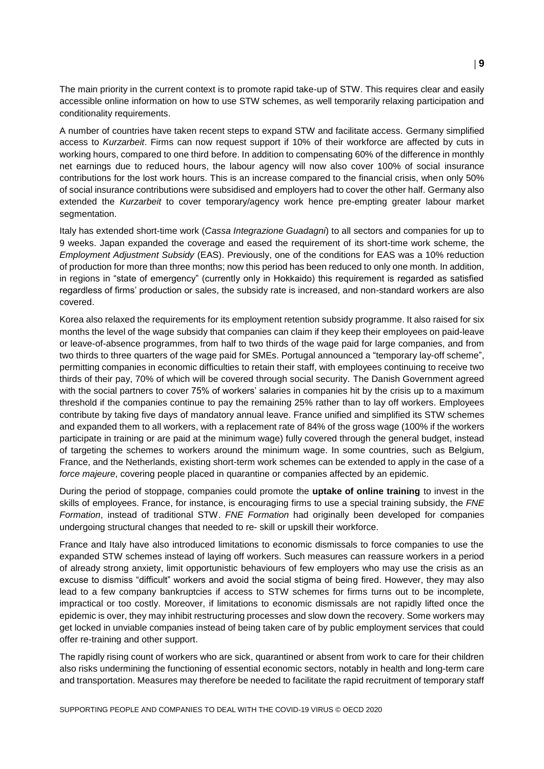The main priority in the current context is to promote rapid take-up of STW. This requires clear and easily accessible online information on how to use STW schemes, as well temporarily relaxing participation and conditionality requirements.

A number of countries have taken recent steps to expand STW and facilitate access. Germany simplified access to *Kurzarbeit*. Firms can now request support if 10% of their workforce are affected by cuts in working hours, compared to one third before. In addition to compensating 60% of the difference in monthly net earnings due to reduced hours, the labour agency will now also cover 100% of social insurance contributions for the lost work hours. This is an increase compared to the financial crisis, when only 50% of social insurance contributions were subsidised and employers had to cover the other half. Germany also extended the *Kurzarbeit* to cover temporary/agency work hence pre-empting greater labour market segmentation.

Italy has extended short-time work (*Cassa Integrazione Guadagni*) to all sectors and companies for up to 9 weeks. Japan expanded the coverage and eased the requirement of its short-time work scheme, the *Employment Adjustment Subsidy* (EAS). Previously, one of the conditions for EAS was a 10% reduction of production for more than three months; now this period has been reduced to only one month. In addition, in regions in "state of emergency" (currently only in Hokkaido) this requirement is regarded as satisfied regardless of firms' production or sales, the subsidy rate is increased, and non-standard workers are also covered.

Korea also relaxed the requirements for its employment retention subsidy programme. It also raised for six months the level of the wage subsidy that companies can claim if they keep their employees on paid-leave or leave-of-absence programmes, from half to two thirds of the wage paid for large companies, and from two thirds to three quarters of the wage paid for SMEs. Portugal announced a "temporary lay-off scheme", permitting companies in economic difficulties to retain their staff, with employees continuing to receive two thirds of their pay, 70% of which will be covered through social security. The Danish Government agreed with the social partners to cover 75% of workers' salaries in companies hit by the crisis up to a maximum threshold if the companies continue to pay the remaining 25% rather than to lay off workers. Employees contribute by taking five days of mandatory annual leave. France unified and simplified its STW schemes and expanded them to all workers, with a replacement rate of 84% of the gross wage (100% if the workers participate in training or are paid at the minimum wage) fully covered through the general budget, instead of targeting the schemes to workers around the minimum wage. In some countries, such as Belgium, France, and the Netherlands, existing short-term work schemes can be extended to apply in the case of a *force majeure*, covering people placed in quarantine or companies affected by an epidemic.

During the period of stoppage, companies could promote the **uptake of online training** to invest in the skills of employees. France, for instance, is encouraging firms to use a special training subsidy, the *FNE Formation*, instead of traditional STW. *FNE Formation* had originally been developed for companies undergoing structural changes that needed to re- skill or upskill their workforce.

France and Italy have also introduced limitations to economic dismissals to force companies to use the expanded STW schemes instead of laying off workers. Such measures can reassure workers in a period of already strong anxiety, limit opportunistic behaviours of few employers who may use the crisis as an excuse to dismiss "difficult" workers and avoid the social stigma of being fired. However, they may also lead to a few company bankruptcies if access to STW schemes for firms turns out to be incomplete, impractical or too costly. Moreover, if limitations to economic dismissals are not rapidly lifted once the epidemic is over, they may inhibit restructuring processes and slow down the recovery. Some workers may get locked in unviable companies instead of being taken care of by public employment services that could offer re-training and other support.

The rapidly rising count of workers who are sick, quarantined or absent from work to care for their children also risks undermining the functioning of essential economic sectors, notably in health and long-term care and transportation. Measures may therefore be needed to facilitate the rapid recruitment of temporary staff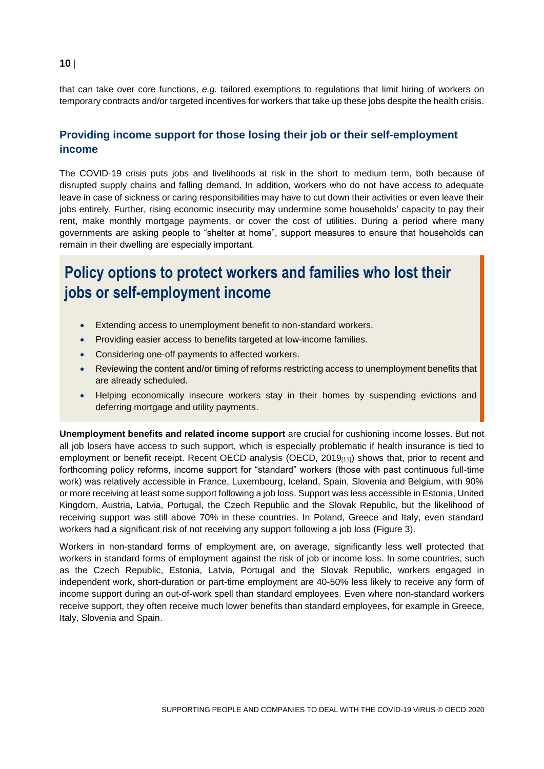that can take over core functions, *e.g.* tailored exemptions to regulations that limit hiring of workers on temporary contracts and/or targeted incentives for workers that take up these jobs despite the health crisis.

## **Providing income support for those losing their job or their self-employment income**

The COVID-19 crisis puts jobs and livelihoods at risk in the short to medium term, both because of disrupted supply chains and falling demand. In addition, workers who do not have access to adequate leave in case of sickness or caring responsibilities may have to cut down their activities or even leave their jobs entirely. Further, rising economic insecurity may undermine some households' capacity to pay their rent, make monthly mortgage payments, or cover the cost of utilities. During a period where many governments are asking people to "shelter at home", support measures to ensure that households can remain in their dwelling are especially important.

# **Policy options to protect workers and families who lost their jobs or self-employment income**

- Extending access to unemployment benefit to non-standard workers.
- Providing easier access to benefits targeted at low-income families.
- Considering one-off payments to affected workers.
- Reviewing the content and/or timing of reforms restricting access to unemployment benefits that are already scheduled.
- Helping economically insecure workers stay in their homes by suspending evictions and deferring mortgage and utility payments.

**Unemployment benefits and related income support** are crucial for cushioning income losses. But not all job losers have access to such support, which is especially problematic if health insurance is tied to employment or benefit receipt. Recent OECD analysis (OECD, 2019<sub>[11]</sub>) shows that, prior to recent and forthcoming policy reforms, income support for "standard" workers (those with past continuous full-time work) was relatively accessible in France, Luxembourg, Iceland, Spain, Slovenia and Belgium, with 90% or more receiving at least some support following a job loss. Support was less accessible in Estonia, United Kingdom, Austria, Latvia, Portugal, the Czech Republic and the Slovak Republic, but the likelihood of receiving support was still above 70% in these countries. In Poland, Greece and Italy, even standard workers had a significant risk of not receiving any support following a job loss [\(Figure](#page-11-0) 3).

Workers in non-standard forms of employment are, on average, significantly less well protected that workers in standard forms of employment against the risk of job or income loss. In some countries, such as the Czech Republic, Estonia, Latvia, Portugal and the Slovak Republic, workers engaged in independent work, short-duration or part-time employment are 40-50% less likely to receive any form of income support during an out-of-work spell than standard employees. Even where non-standard workers receive support, they often receive much lower benefits than standard employees, for example in Greece, Italy, Slovenia and Spain.

**10**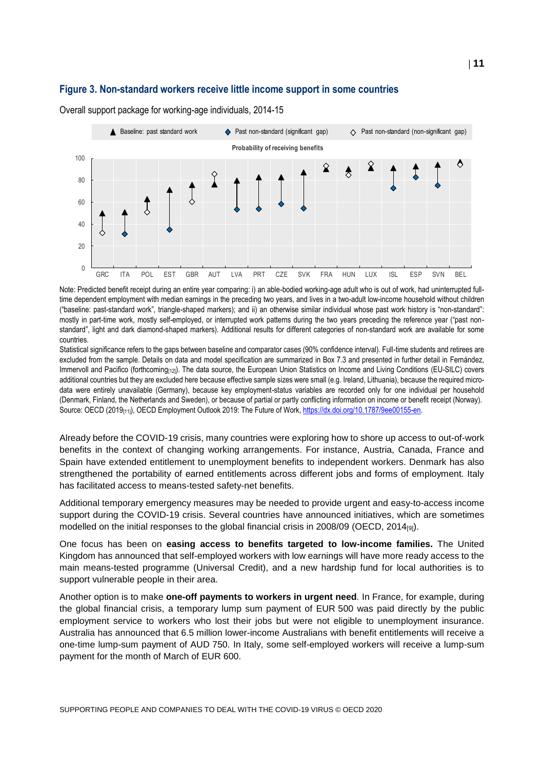#### <span id="page-11-0"></span>**Figure 3. Non-standard workers receive little income support in some countries**



Overall support package for working-age individuals, 2014-15

Note: Predicted benefit receipt during an entire year comparing: i) an able-bodied working-age adult who is out of work, had uninterrupted fulltime dependent employment with median earnings in the preceding two years, and lives in a two-adult low-income household without children ("baseline: past-standard work", triangle-shaped markers); and ii) an otherwise similar individual whose past work history is "non-standard": mostly in part-time work, mostly self-employed, or interrupted work patterns during the two years preceding the reference year ("past nonstandard", light and dark diamond-shaped markers). Additional results for different categories of non-standard work are available for some countries.

Statistical significance refers to the gaps between baseline and comparator cases (90% confidence interval). Full-time students and retirees are excluded from the sample. Details on data and model specification are summarized in Box 7.3 and presented in further detail in Fernández, Immervoll and Pacifico (forthcoming[12]). The data source, the European Union Statistics on Income and Living Conditions (EU-SILC) covers additional countries but they are excluded here because effective sample sizes were small (e.g. Ireland, Lithuania), because the required microdata were entirely unavailable (Germany), because key employment-status variables are recorded only for one individual per household (Denmark, Finland, the Netherlands and Sweden), or because of partial or partly conflicting information on income or benefit receipt (Norway). Source: OECD (2019<sub>[11]</sub>), OECD Employment Outlook 2019: The Future of Work, [https://dx.doi.org/10.1787/9ee00155-en.](https://dx.doi.org/10.1787/9ee00155-en)

Already before the COVID-19 crisis, many countries were exploring how to shore up access to out-of-work benefits in the context of changing working arrangements. For instance, Austria, Canada, France and Spain have extended entitlement to unemployment benefits to independent workers. Denmark has also strengthened the portability of earned entitlements across different jobs and forms of employment. Italy has facilitated access to means-tested safety-net benefits.

Additional temporary emergency measures may be needed to provide urgent and easy-to-access income support during the COVID-19 crisis. Several countries have announced initiatives, which are sometimes modelled on the initial responses to the global financial crisis in 2008/09 (OECD, 2014 $_{[9]}$ ).

One focus has been on **easing access to benefits targeted to low-income families.** The United Kingdom has announced that self-employed workers with low earnings will have more ready access to the main means-tested programme (Universal Credit), and a new hardship fund for local authorities is to support vulnerable people in their area.

Another option is to make **one-off payments to workers in urgent need***.* In France, for example, during the global financial crisis, a temporary lump sum payment of EUR 500 was paid directly by the public employment service to workers who lost their jobs but were not eligible to unemployment insurance. Australia has announced that 6.5 million lower-income Australians with benefit entitlements will receive a one-time lump-sum payment of AUD 750. In Italy, some self-employed workers will receive a lump-sum payment for the month of March of EUR 600.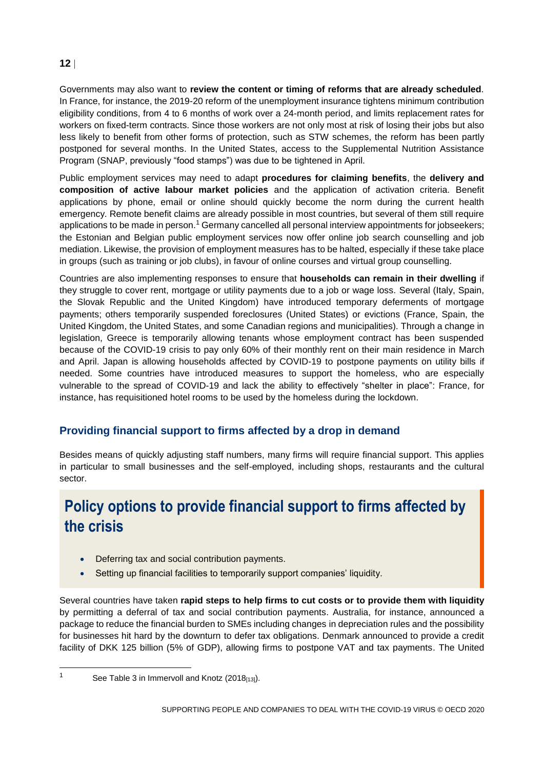Governments may also want to **review the content or timing of reforms that are already scheduled***.* In France, for instance, the 2019-20 reform of the unemployment insurance tightens minimum contribution eligibility conditions, from 4 to 6 months of work over a 24-month period, and limits replacement rates for workers on fixed-term contracts. Since those workers are not only most at risk of losing their jobs but also less likely to benefit from other forms of protection, such as STW schemes, the reform has been partly postponed for several months. In the United States, access to the Supplemental Nutrition Assistance Program (SNAP, previously "food stamps") was due to be tightened in April.

Public employment services may need to adapt **procedures for claiming benefits**, the **delivery and composition of active labour market policies** and the application of activation criteria. Benefit applications by phone, email or online should quickly become the norm during the current health emergency. Remote benefit claims are already possible in most countries, but several of them still require applications to be made in person.<sup>1</sup> Germany cancelled all personal interview appointments for jobseekers; the Estonian and Belgian public employment services now offer online job search counselling and job mediation. Likewise, the provision of employment measures has to be halted, especially if these take place in groups (such as training or job clubs), in favour of online courses and virtual group counselling.

Countries are also implementing responses to ensure that **households can remain in their dwelling** if they struggle to cover rent, mortgage or utility payments due to a job or wage loss. Several (Italy, Spain, the Slovak Republic and the United Kingdom) have introduced temporary deferments of mortgage payments; others temporarily suspended foreclosures (United States) or evictions (France, Spain, the United Kingdom, the United States, and some Canadian regions and municipalities). Through a change in legislation, Greece is temporarily allowing tenants whose employment contract has been suspended because of the COVID-19 crisis to pay only 60% of their monthly rent on their main residence in March and April. Japan is allowing households affected by COVID-19 to postpone payments on utility bills if needed. Some countries have introduced measures to support the homeless, who are especially vulnerable to the spread of COVID-19 and lack the ability to effectively "shelter in place": France, for instance, has requisitioned hotel rooms to be used by the homeless during the lockdown.

# **Providing financial support to firms affected by a drop in demand**

Besides means of quickly adjusting staff numbers, many firms will require financial support. This applies in particular to small businesses and the self-employed, including shops, restaurants and the cultural sector.

# **Policy options to provide financial support to firms affected by the crisis**

- Deferring tax and social contribution payments.
- Setting up financial facilities to temporarily support companies' liquidity.

Several countries have taken **rapid steps to help firms to cut costs or to provide them with liquidity** by permitting a deferral of tax and social contribution payments. Australia, for instance, announced a package to reduce the financial burden to SMEs including changes in depreciation rules and the possibility for businesses hit hard by the downturn to defer tax obligations. Denmark announced to provide a credit facility of DKK 125 billion (5% of GDP), allowing firms to postpone VAT and tax payments. The United

 $\overline{1}$ 

See Table 3 in Immervoll and Knotz (2018[13]).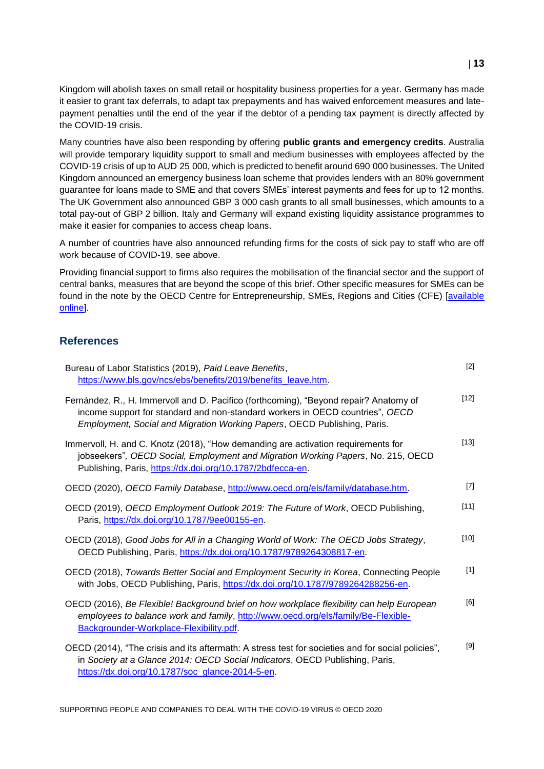Kingdom will abolish taxes on small retail or hospitality business properties for a year. Germany has made it easier to grant tax deferrals, to adapt tax prepayments and has waived enforcement measures and latepayment penalties until the end of the year if the debtor of a pending tax payment is directly affected by the COVID-19 crisis.

Many countries have also been responding by offering **public grants and emergency credits**. Australia will provide temporary liquidity support to small and medium businesses with employees affected by the COVID-19 crisis of up to AUD 25 000, which is predicted to benefit around 690 000 businesses. The United Kingdom announced an emergency business loan scheme that provides lenders with an 80% government guarantee for loans made to SME and that covers SMEs' interest payments and fees for up to 12 months. The UK Government also announced GBP 3 000 cash grants to all small businesses, which amounts to a total pay-out of GBP 2 billion. Italy and Germany will expand existing liquidity assistance programmes to make it easier for companies to access cheap loans.

A number of countries have also announced refunding firms for the costs of sick pay to staff who are off work because of COVID-19, see above.

Providing financial support to firms also requires the mobilisation of the financial sector and the support of central banks, measures that are beyond the scope of this brief. Other specific measures for SMEs can be found in the note by the OECD Centre for Entrepreneurship, SMEs, Regions and Cities (CFE) [\[available](https://oecd.dam-broadcast.com/pm_7379_119_119680-di6h3qgi4x.pdf)  [online\]](https://oecd.dam-broadcast.com/pm_7379_119_119680-di6h3qgi4x.pdf).

#### **References**

| Bureau of Labor Statistics (2019), Paid Leave Benefits,<br>https://www.bls.gov/ncs/ebs/benefits/2019/benefits_leave.htm.                                                                                                                           | $[2]$  |
|----------------------------------------------------------------------------------------------------------------------------------------------------------------------------------------------------------------------------------------------------|--------|
| Fernández, R., H. Immervoll and D. Pacifico (forthcoming), "Beyond repair? Anatomy of<br>income support for standard and non-standard workers in OECD countries", OECD<br>Employment, Social and Migration Working Papers, OECD Publishing, Paris. | $[12]$ |
| Immervoll, H. and C. Knotz (2018), "How demanding are activation requirements for<br>jobseekers", OECD Social, Employment and Migration Working Papers, No. 215, OECD<br>Publishing, Paris, https://dx.doi.org/10.1787/2bdfecca-en.                | $[13]$ |
| OECD (2020), OECD Family Database, http://www.oecd.org/els/family/database.htm.                                                                                                                                                                    | $[7]$  |
| OECD (2019), OECD Employment Outlook 2019: The Future of Work, OECD Publishing,<br>Paris, https://dx.doi.org/10.1787/9ee00155-en                                                                                                                   | $[11]$ |
| OECD (2018), Good Jobs for All in a Changing World of Work: The OECD Jobs Strategy,<br>OECD Publishing, Paris, https://dx.doi.org/10.1787/9789264308817-en.                                                                                        | $[10]$ |
| OECD (2018), Towards Better Social and Employment Security in Korea, Connecting People<br>with Jobs, OECD Publishing, Paris, https://dx.doi.org/10.1787/9789264288256-en.                                                                          | $[1]$  |
| OECD (2016), Be Flexible! Background brief on how workplace flexibility can help European<br>employees to balance work and family, http://www.oecd.org/els/family/Be-Flexible-<br>Backgrounder-Workplace-Flexibility.pdf.                          | [6]    |
| OECD (2014), "The crisis and its aftermath: A stress test for societies and for social policies",<br>in Society at a Glance 2014: OECD Social Indicators, OECD Publishing, Paris,<br>https://dx.doi.org/10.1787/soc_glance-2014-5-en.              | $[9]$  |

SUPPORTING PEOPLE AND COMPANIES TO DEAL WITH THE COVID-19 VIRUS © OECD 2020